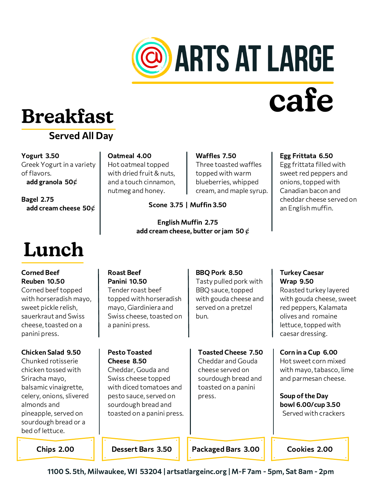

# **cafe**

# **Breakfast**

### Served All Day

Yogurt 3.50 Greek Yogurt in a variety of flavors. add granola 50 $\phi$ 

Bagel 2.75 add cream cheese 50 $\mathcal C$ 

# **Lunch**

Corned Beef Reuben 10.50 Corned beef topped with horseradish mayo, sweet pickle relish, sauerkraut and Swiss cheese, toasted on a panini press.

#### Chicken Salad 9.50

Chunked rotisserie chicken tossed with Sriracha mayo, balsamic vinaigrette, celery, onions, slivered almonds and pineapple, served on sourdough bread or a bed of lettuce.

Oatmeal 4.00 Hot oatmeal topped with dried fruit & nuts, and a touch cinnamon, nutmeg and honey.

Pesto Toasted Cheese 8.50

Cheddar, Gouda and Swiss cheese topped with diced tomatoes and pesto sauce, served on sourdough bread and toasted on a panini press.

#### Scone 3.75 | Muffin 3.50

English Muffin 2.75 add cream cheese, butter or jam 50  $\ell$ 

#### Egg Frittata 6.50

Egg frittata filled with sweet red peppers and onions, topped with Canadian bacon and cheddar cheese served on an English muffin.

#### Roast Beef Panini 10.50 Tender roast beef topped with horseradish mayo, Giardiniera and Swiss cheese, toasted on a panini press. BBQ Pork 8.50 Tasty pulled pork with BBQ sauce, topped with gouda cheese and served on a pretzel bun.

Waffles 7.50

Three toasted waffles topped with warm blueberries, whipped cream, and maple syrup.

Toasted Cheese 7.50 Cheddar and Gouda cheese served on sourdough bread and toasted on a panini press.

### Turkey Caesar Wrap 9.50

Roasted turkey layered with gouda cheese, sweet red peppers, Kalamata olives and romaine lettuce, topped with caesar dressing.

Corn in a Cup 6.00 Hot sweet corn mixed with mayo, tabasco, lime and parmesan cheese.

Soup of the Day bowl 6.00/cup 3.50 Served with crackers

Chips 2.00 **Chips 2.00** Possert Bars 3.50 **Packaged Bars 3.00** Cookies 2.00

1100 S. 5th, Milwaukee, WI 53204 | artsatlargeinc.org | M-F 7am - 5pm, Sat 8am - 2pm